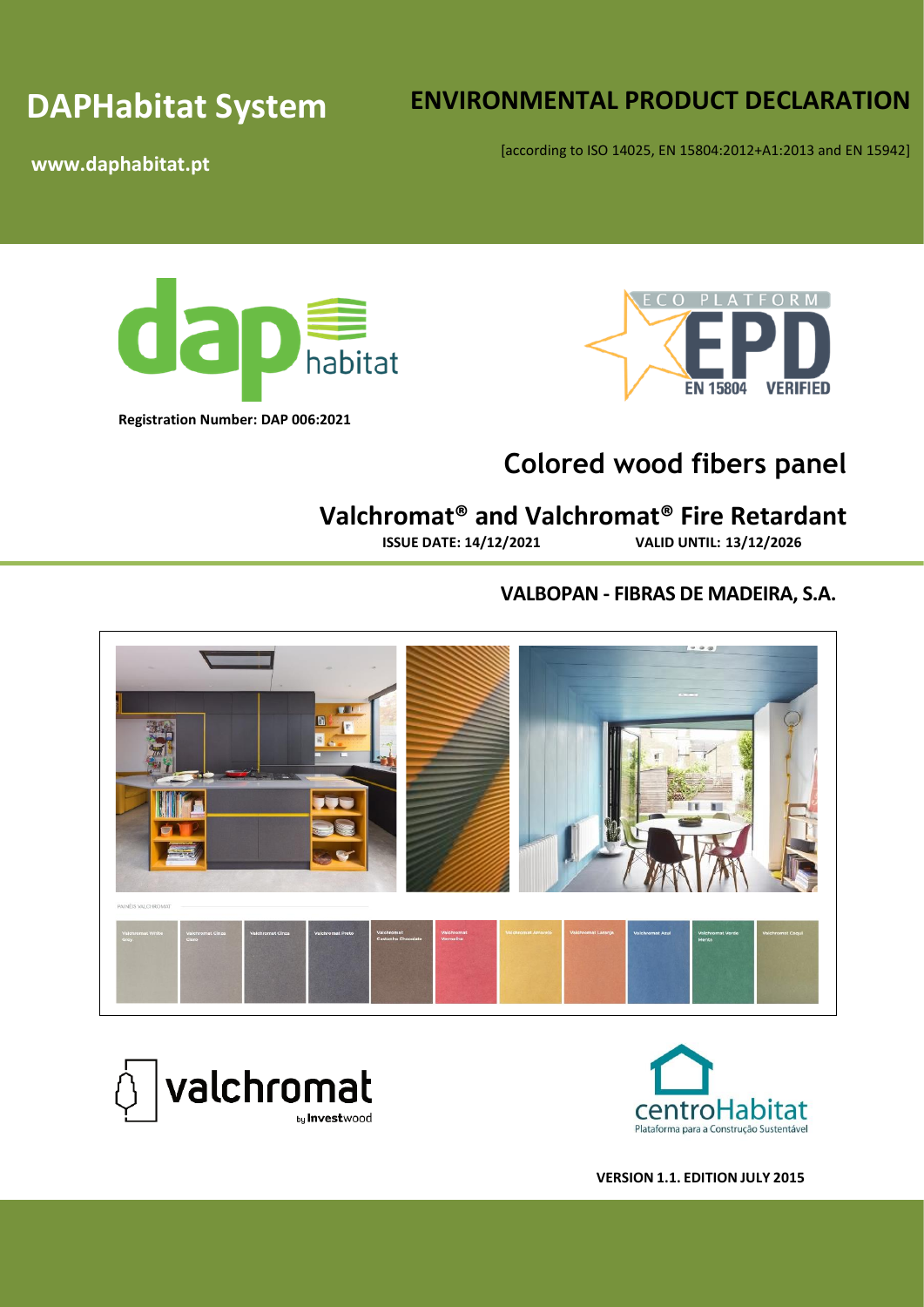# **DAPHabitat System**

# **ENVIRONMENTAL PRODUCT DECLARATION**

[according to ISO 14025, EN 15804:2012+A1:2013 and EN 15942]

**www.daphabitat.pt**





# **Colored wood fibers panel**

# **Valchromat® and Valchromat® Fire Retardant**

**ISSUE DATE: 14/12/2021 VALID UNTIL: 13/12/2026**

## **VALBOPAN - FIBRAS DE MADEIRA, S.A.**





**VERSION 1.1. EDITION JULY 2015**

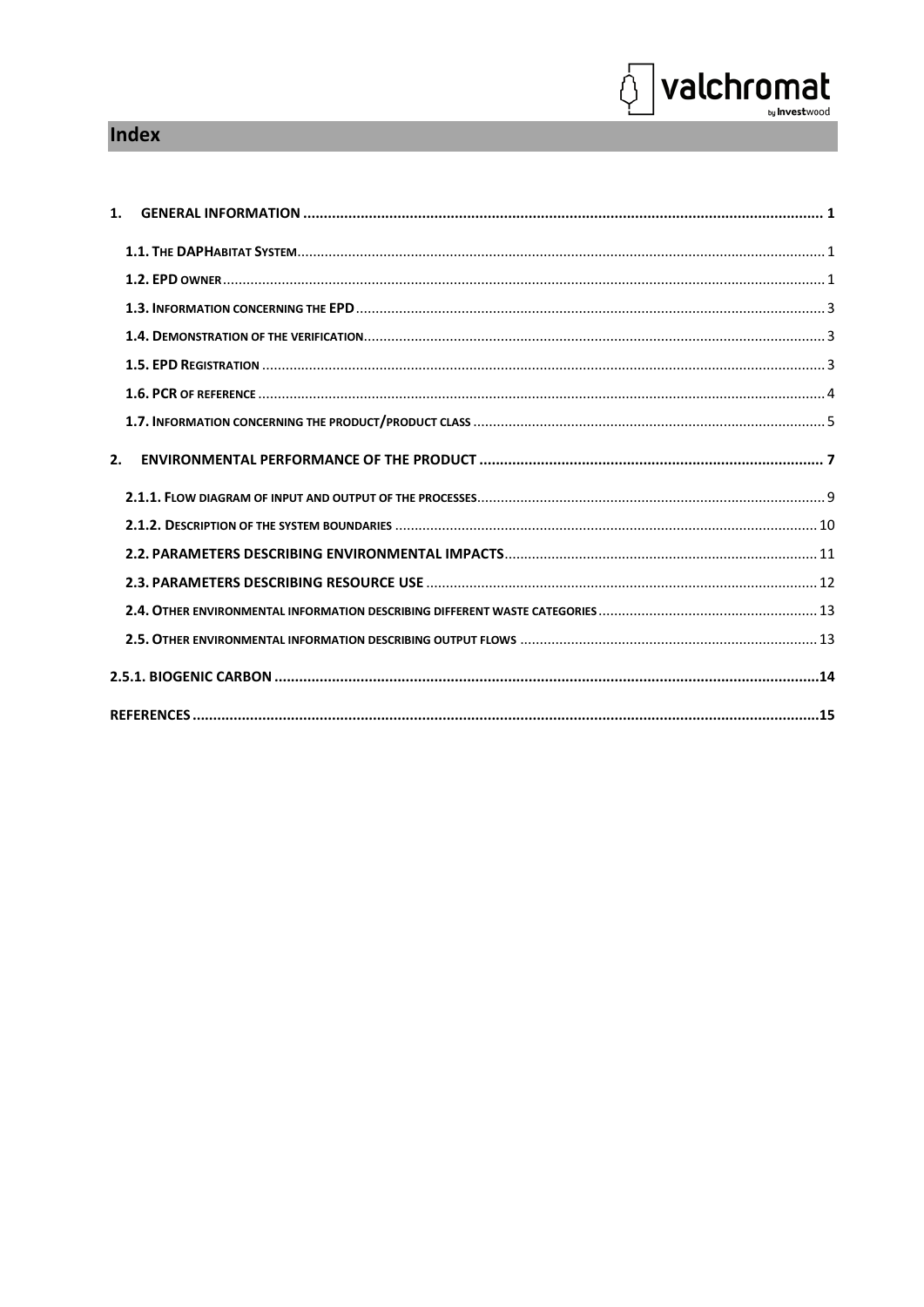# Index

| 2. |  |
|----|--|
|    |  |
|    |  |
|    |  |
|    |  |
|    |  |
|    |  |
|    |  |
|    |  |

**Solution Section**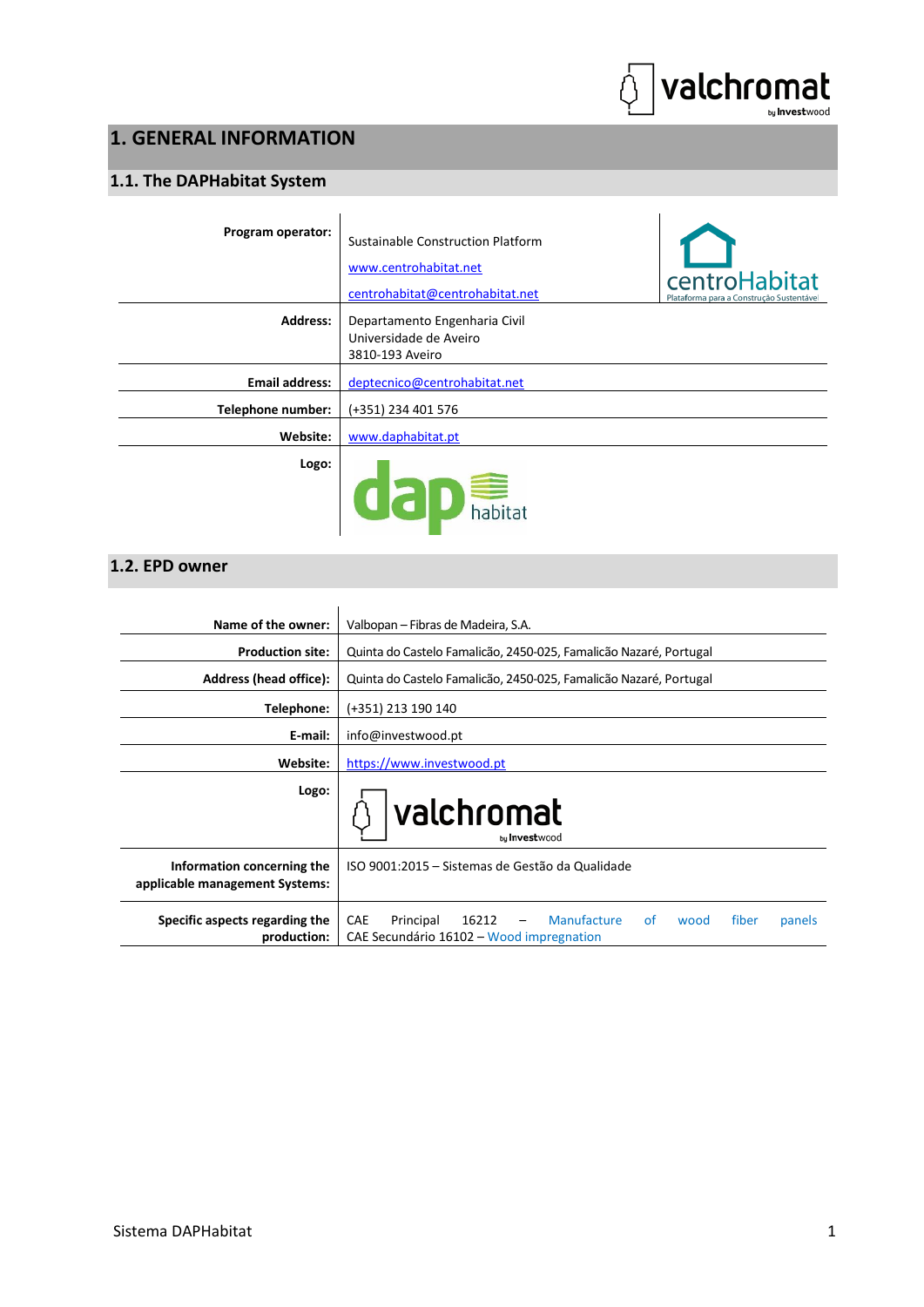

# <span id="page-4-0"></span>**1. GENERAL INFORMATION**

## <span id="page-4-1"></span>**1.1. The DAPHabitat System**

| Program operator:     | Sustainable Construction Platform<br>www.centrohabitat.net<br>centrohabitat@centrohabitat.net | centroHabitat<br>Plataforma para a Construção Sustentável |
|-----------------------|-----------------------------------------------------------------------------------------------|-----------------------------------------------------------|
| <b>Address:</b>       | Departamento Engenharia Civil<br>Universidade de Aveiro<br>3810-193 Aveiro                    |                                                           |
| <b>Email address:</b> | deptecnico@centrohabitat.net                                                                  |                                                           |
| Telephone number:     | (+351) 234 401 576                                                                            |                                                           |
| Website:              | www.daphabitat.pt                                                                             |                                                           |
| Logo:                 | dap habitat                                                                                   |                                                           |

### <span id="page-4-2"></span>**1.2. EPD owner**

| Name of the owner:                                           | Valbopan – Fibras de Madeira, S.A.                                                                                           |  |  |  |  |  |  |  |  |  |
|--------------------------------------------------------------|------------------------------------------------------------------------------------------------------------------------------|--|--|--|--|--|--|--|--|--|
| <b>Production site:</b>                                      | Quinta do Castelo Famalição, 2450-025, Famalição Nazaré, Portugal                                                            |  |  |  |  |  |  |  |  |  |
| Address (head office):                                       | Quinta do Castelo Famalição, 2450-025, Famalição Nazaré, Portugal                                                            |  |  |  |  |  |  |  |  |  |
| Telephone:                                                   | (+351) 213 190 140                                                                                                           |  |  |  |  |  |  |  |  |  |
| E-mail:                                                      | info@investwood.pt                                                                                                           |  |  |  |  |  |  |  |  |  |
| Website:                                                     | https://www.investwood.pt                                                                                                    |  |  |  |  |  |  |  |  |  |
| Logo:                                                        | valchromat<br>bu Investwood                                                                                                  |  |  |  |  |  |  |  |  |  |
| Information concerning the<br>applicable management Systems: | ISO 9001:2015 – Sistemas de Gestão da Qualidade                                                                              |  |  |  |  |  |  |  |  |  |
| Specific aspects regarding the<br>production:                | <b>Manufacture</b><br>CAE<br>16212<br>fiber<br>Principal<br>of<br>wood<br>panels<br>CAE Secundário 16102 – Wood impregnation |  |  |  |  |  |  |  |  |  |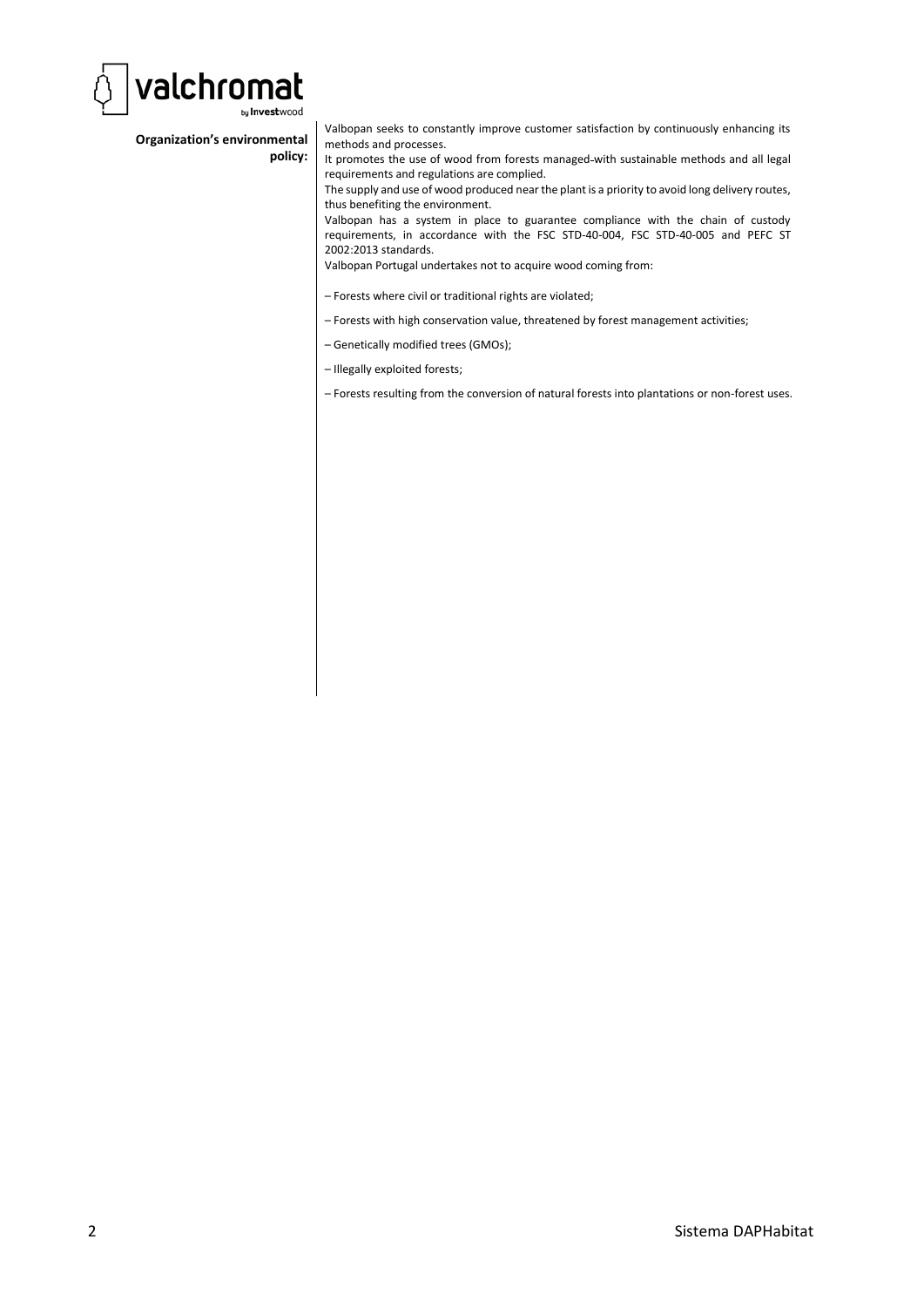

#### **Organization's environmental policy:**

Valbopan seeks to constantly improve customer satisfaction by continuously enhancing its methods and processes.

It promotes the use of wood from forests managed with sustainable methods and all legal requirements and regulations are complied.

The supply and use of wood produced near the plant is a priority to avoid long delivery routes, thus benefiting the environment.

Valbopan has a system in place to guarantee compliance with the chain of custody requirements, in accordance with the FSC STD-40-004, FSC STD-40-005 and PEFC ST 2002:2013 standards.

Valbopan Portugal undertakes not to acquire wood coming from:

- Forests where civil or traditional rights are violated;
- Forests with high conservation value, threatened by forest management activities;
- Genetically modified trees (GMOs);
- Illegally exploited forests;
- Forests resulting from the conversion of natural forests into plantations or non-forest uses.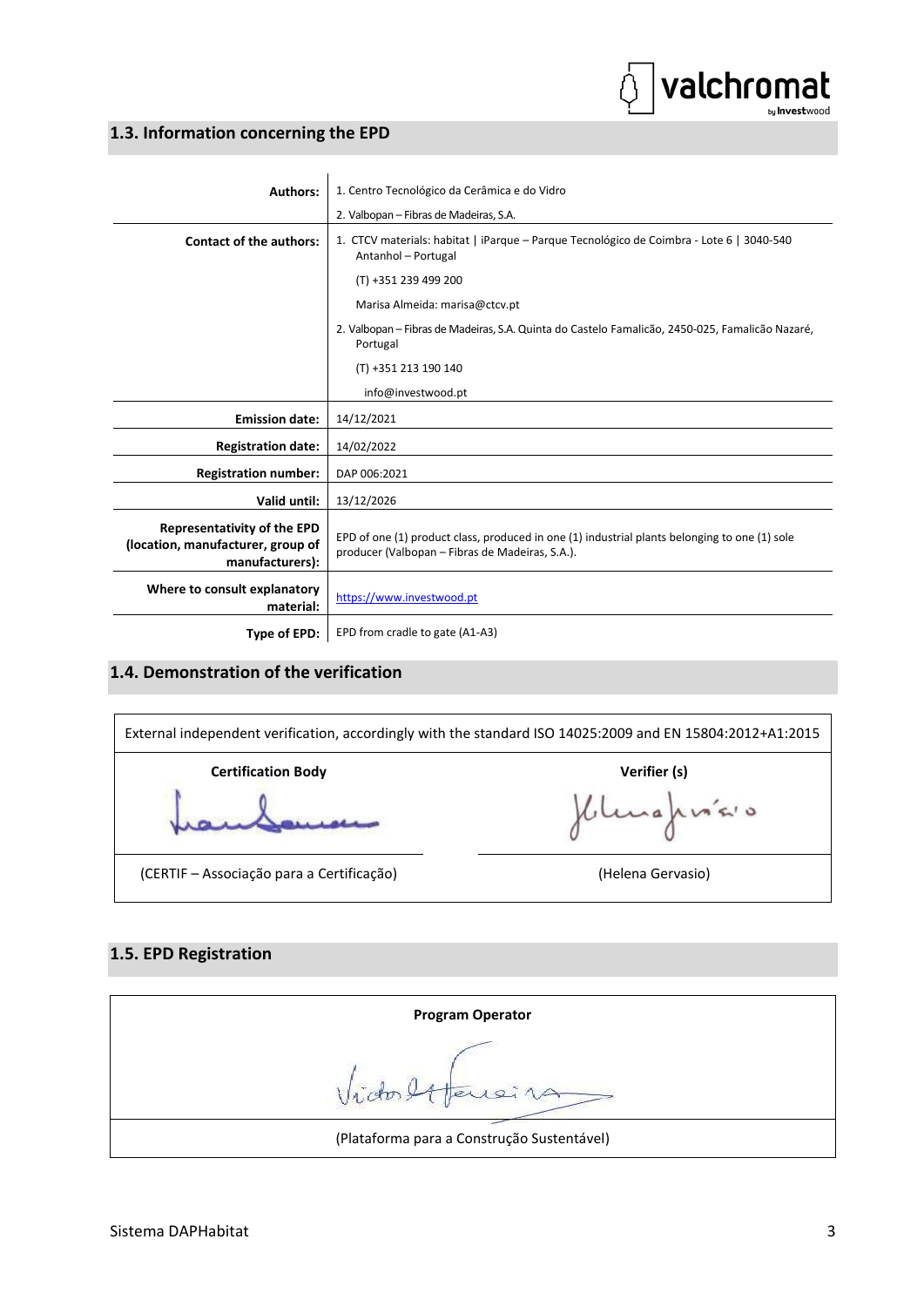## valchromat by Investwood

#### <span id="page-6-0"></span>**1.3. Information concerning the EPD**

| <b>Authors:</b>                                                                            | 1. Centro Tecnológico da Cerâmica e do Vidro                                                                                                     |
|--------------------------------------------------------------------------------------------|--------------------------------------------------------------------------------------------------------------------------------------------------|
|                                                                                            | 2. Valbopan - Fibras de Madeiras, S.A.                                                                                                           |
| <b>Contact of the authors:</b>                                                             | 1. CTCV materials: habitat   iParque - Parque Tecnológico de Coimbra - Lote 6   3040-540<br>Antanhol - Portugal                                  |
|                                                                                            | (T) +351 239 499 200                                                                                                                             |
|                                                                                            | Marisa Almeida: marisa@ctcv.pt                                                                                                                   |
|                                                                                            | 2. Valbopan – Fibras de Madeiras, S.A. Quinta do Castelo Famalicão, 2450-025, Famalicão Nazaré,<br>Portugal                                      |
|                                                                                            | (T) +351 213 190 140                                                                                                                             |
|                                                                                            | info@investwood.pt                                                                                                                               |
| <b>Emission date:</b>                                                                      | 14/12/2021                                                                                                                                       |
| <b>Registration date:</b>                                                                  | 14/02/2022                                                                                                                                       |
| <b>Registration number:</b>                                                                | DAP 006:2021                                                                                                                                     |
| Valid until:                                                                               | 13/12/2026                                                                                                                                       |
| <b>Representativity of the EPD</b><br>(location, manufacturer, group of<br>manufacturers): | EPD of one (1) product class, produced in one (1) industrial plants belonging to one (1) sole<br>producer (Valbopan - Fibras de Madeiras, S.A.). |
| Where to consult explanatory<br>material:                                                  | https://www.investwood.pt                                                                                                                        |
| Type of EPD:                                                                               | EPD from cradle to gate (A1-A3)                                                                                                                  |

### <span id="page-6-1"></span>**1.4. Demonstration of the verification**



#### <span id="page-6-2"></span>**1.5. EPD Registration**

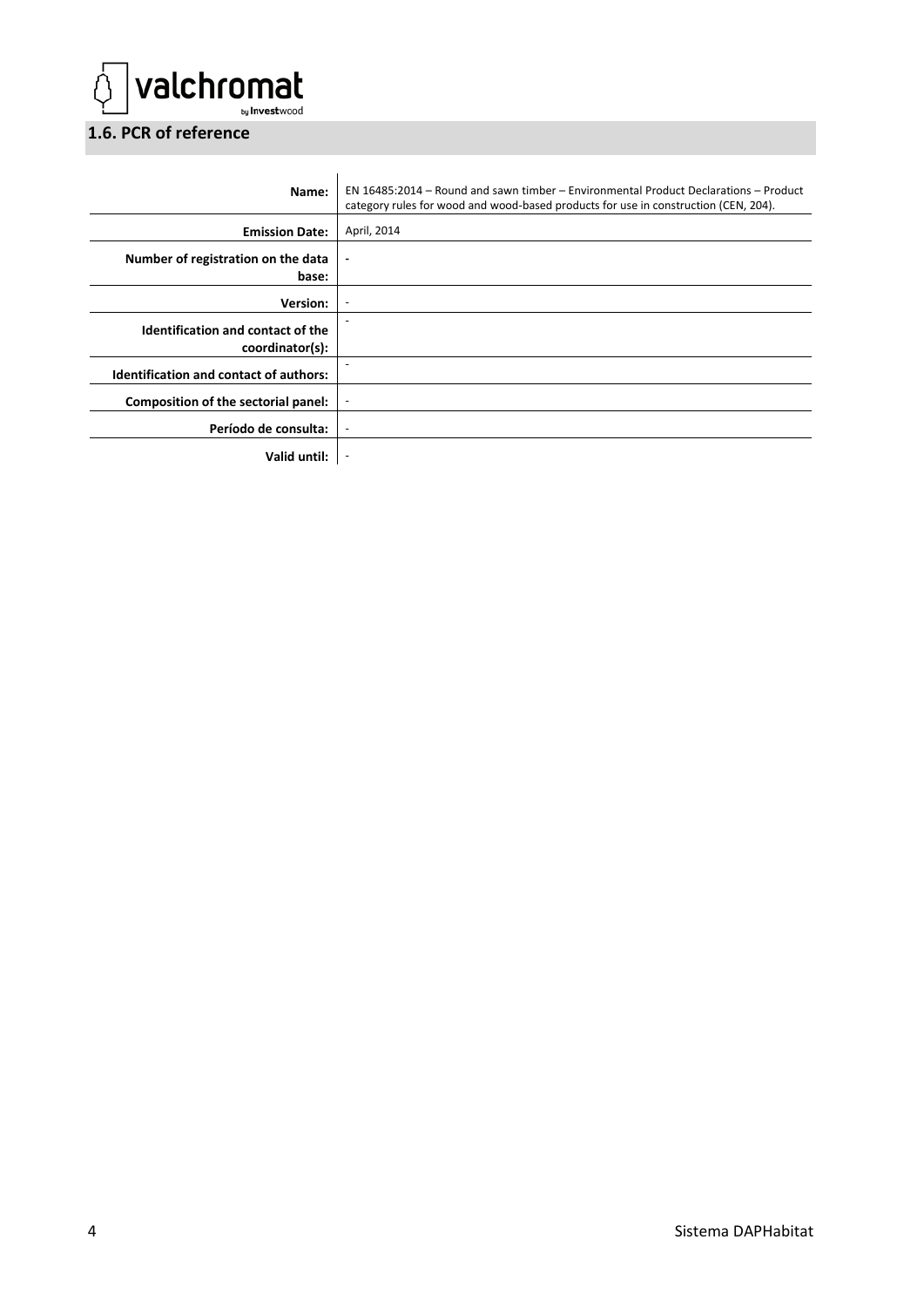

## <span id="page-7-0"></span>**1.6. PCR of reference**

| Name:                                                | EN 16485:2014 – Round and sawn timber – Environmental Product Declarations – Product<br>category rules for wood and wood-based products for use in construction (CEN, 204). |
|------------------------------------------------------|-----------------------------------------------------------------------------------------------------------------------------------------------------------------------------|
| <b>Emission Date:</b>                                | April, 2014                                                                                                                                                                 |
| Number of registration on the data<br>base:          | $\blacksquare$                                                                                                                                                              |
| <b>Version:</b>                                      |                                                                                                                                                                             |
| Identification and contact of the<br>coordinator(s): |                                                                                                                                                                             |
| <b>Identification and contact of authors:</b>        |                                                                                                                                                                             |
| Composition of the sectorial panel:                  |                                                                                                                                                                             |
| Período de consulta:                                 | $\overline{\phantom{a}}$                                                                                                                                                    |
| Valid until:                                         |                                                                                                                                                                             |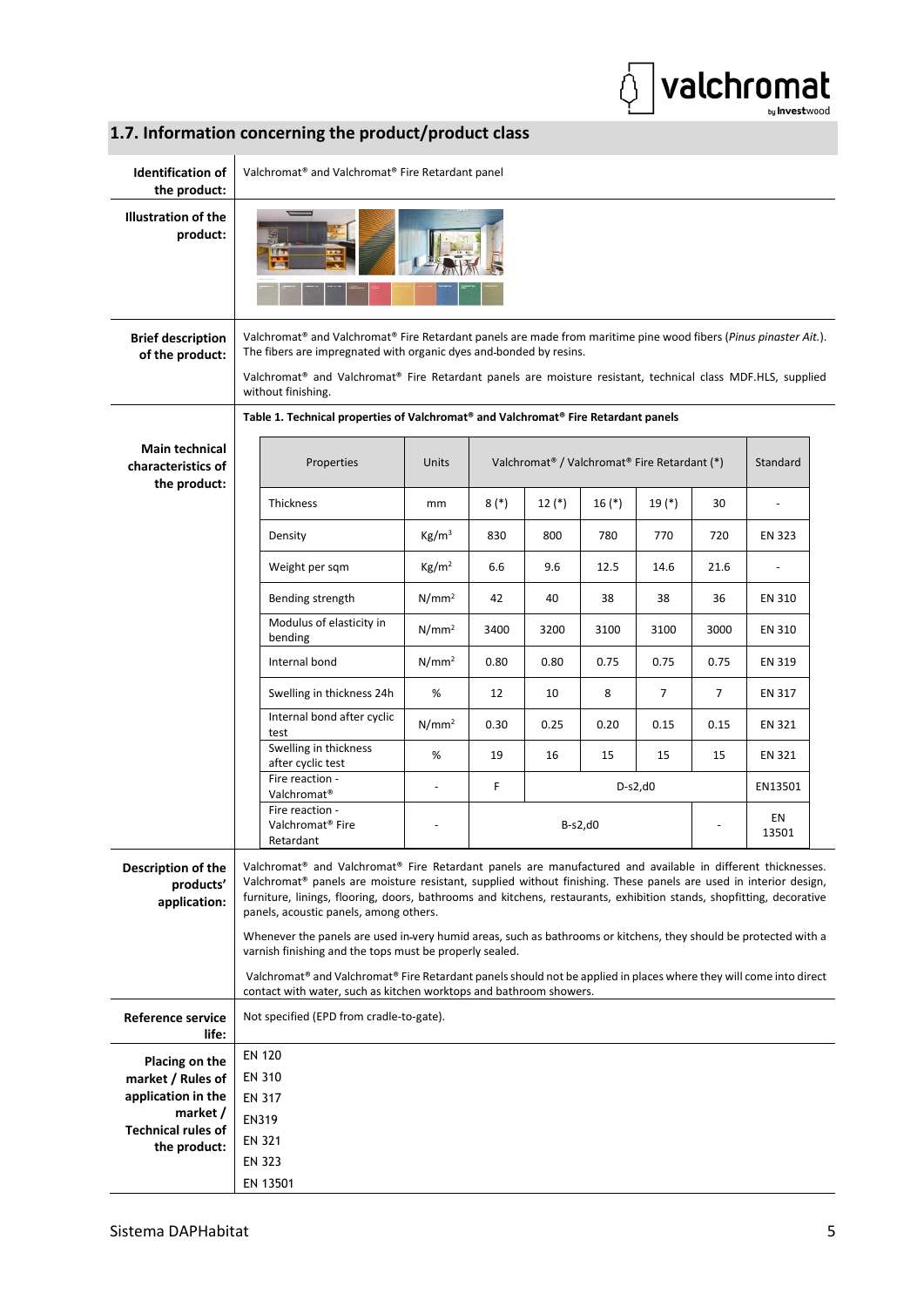

# <span id="page-8-0"></span>**1.7. Information concerning the product/product class**

| <b>Identification of</b><br>the product:                    | Valchromat <sup>®</sup> and Valchromat <sup>®</sup> Fire Retardant panel                                                                                                                                                                                                                                                                                                                         |                   |        |         |                                                                      |           |      |             |  |  |  |
|-------------------------------------------------------------|--------------------------------------------------------------------------------------------------------------------------------------------------------------------------------------------------------------------------------------------------------------------------------------------------------------------------------------------------------------------------------------------------|-------------------|--------|---------|----------------------------------------------------------------------|-----------|------|-------------|--|--|--|
| <b>Illustration of the</b><br>product:                      |                                                                                                                                                                                                                                                                                                                                                                                                  |                   |        |         |                                                                      |           |      |             |  |  |  |
| <b>Brief description</b><br>of the product:                 | Valchromat <sup>®</sup> and Valchromat <sup>®</sup> Fire Retardant panels are made from maritime pine wood fibers (Pinus pinaster Ait.).<br>The fibers are impregnated with organic dyes and bonded by resins.<br>Valchromat® and Valchromat® Fire Retardant panels are moisture resistant, technical class MDF.HLS, supplied<br>without finishing.                                              |                   |        |         |                                                                      |           |      |             |  |  |  |
|                                                             | Table 1. Technical properties of Valchromat® and Valchromat® Fire Retardant panels                                                                                                                                                                                                                                                                                                               |                   |        |         |                                                                      |           |      |             |  |  |  |
| <b>Main technical</b><br>characteristics of<br>the product: | Properties                                                                                                                                                                                                                                                                                                                                                                                       | Units             |        |         | Valchromat <sup>®</sup> / Valchromat <sup>®</sup> Fire Retardant (*) |           |      | Standard    |  |  |  |
|                                                             | Thickness                                                                                                                                                                                                                                                                                                                                                                                        | mm                | $8(*)$ | $12(*)$ | $16(*)$                                                              | $19(*)$   | 30   |             |  |  |  |
|                                                             | Density                                                                                                                                                                                                                                                                                                                                                                                          | Kg/m <sup>3</sup> | 830    | 800     | 780                                                                  | 770       | 720  | EN 323      |  |  |  |
|                                                             | Weight per sqm                                                                                                                                                                                                                                                                                                                                                                                   | Kg/m <sup>2</sup> | 6.6    | 9.6     | 12.5                                                                 | 14.6      | 21.6 | ÷,          |  |  |  |
|                                                             | Bending strength                                                                                                                                                                                                                                                                                                                                                                                 | N/mm <sup>2</sup> | 42     | 40      | 38                                                                   | 38        | 36   | EN 310      |  |  |  |
|                                                             | Modulus of elasticity in<br>bending                                                                                                                                                                                                                                                                                                                                                              | $N/mm^2$          | 3400   | 3200    | 3100                                                                 | 3100      | 3000 | EN 310      |  |  |  |
|                                                             | Internal bond                                                                                                                                                                                                                                                                                                                                                                                    | $N/mm^2$          | 0.80   | 0.80    | 0.75                                                                 | 0.75      | 0.75 | EN 319      |  |  |  |
|                                                             | Swelling in thickness 24h                                                                                                                                                                                                                                                                                                                                                                        | %                 | 12     | 10      | 8                                                                    | 7         | 7    | EN 317      |  |  |  |
|                                                             | Internal bond after cyclic<br>test                                                                                                                                                                                                                                                                                                                                                               | $N/mm^2$          | 0.30   | 0.25    | 0.20                                                                 | 0.15      | 0.15 | EN 321      |  |  |  |
|                                                             | Swelling in thickness<br>after cyclic test                                                                                                                                                                                                                                                                                                                                                       | %                 | 19     | 16      | 15                                                                   | 15        | 15   | EN 321      |  |  |  |
|                                                             | Fire reaction -<br>Valchromat <sup>®</sup>                                                                                                                                                                                                                                                                                                                                                       |                   | F.     |         |                                                                      | $D-S2,d0$ |      | EN13501     |  |  |  |
|                                                             | Fire reaction -<br>Valchromat <sup>®</sup> Fire<br>Retardant                                                                                                                                                                                                                                                                                                                                     |                   |        |         | $B-S2,d0$                                                            |           |      | EN<br>13501 |  |  |  |
| Description of the<br>products'<br>application:             | Valchromat® and Valchromat® Fire Retardant panels are manufactured and available in different thicknesses.<br>Valchromat® panels are moisture resistant, supplied without finishing. These panels are used in interior design,<br>furniture, linings, flooring, doors, bathrooms and kitchens, restaurants, exhibition stands, shopfitting, decorative<br>panels, acoustic panels, among others. |                   |        |         |                                                                      |           |      |             |  |  |  |
|                                                             | Whenever the panels are used in-very humid areas, such as bathrooms or kitchens, they should be protected with a<br>varnish finishing and the tops must be properly sealed.                                                                                                                                                                                                                      |                   |        |         |                                                                      |           |      |             |  |  |  |
|                                                             | Valchromat® and Valchromat® Fire Retardant panels should not be applied in places where they will come into direct<br>contact with water, such as kitchen worktops and bathroom showers.                                                                                                                                                                                                         |                   |        |         |                                                                      |           |      |             |  |  |  |
| <b>Reference service</b>                                    | Not specified (EPD from cradle-to-gate).                                                                                                                                                                                                                                                                                                                                                         |                   |        |         |                                                                      |           |      |             |  |  |  |
| life:                                                       | <b>EN 120</b>                                                                                                                                                                                                                                                                                                                                                                                    |                   |        |         |                                                                      |           |      |             |  |  |  |
| <b>Placing on the</b><br>market / Rules of                  | <b>EN 310</b>                                                                                                                                                                                                                                                                                                                                                                                    |                   |        |         |                                                                      |           |      |             |  |  |  |
| application in the                                          | <b>EN 317</b>                                                                                                                                                                                                                                                                                                                                                                                    |                   |        |         |                                                                      |           |      |             |  |  |  |
| market /                                                    | <b>EN319</b>                                                                                                                                                                                                                                                                                                                                                                                     |                   |        |         |                                                                      |           |      |             |  |  |  |
| <b>Technical rules of</b>                                   | <b>EN 321</b>                                                                                                                                                                                                                                                                                                                                                                                    |                   |        |         |                                                                      |           |      |             |  |  |  |
| the product:                                                | <b>EN 323</b>                                                                                                                                                                                                                                                                                                                                                                                    |                   |        |         |                                                                      |           |      |             |  |  |  |
|                                                             | EN 13501                                                                                                                                                                                                                                                                                                                                                                                         |                   |        |         |                                                                      |           |      |             |  |  |  |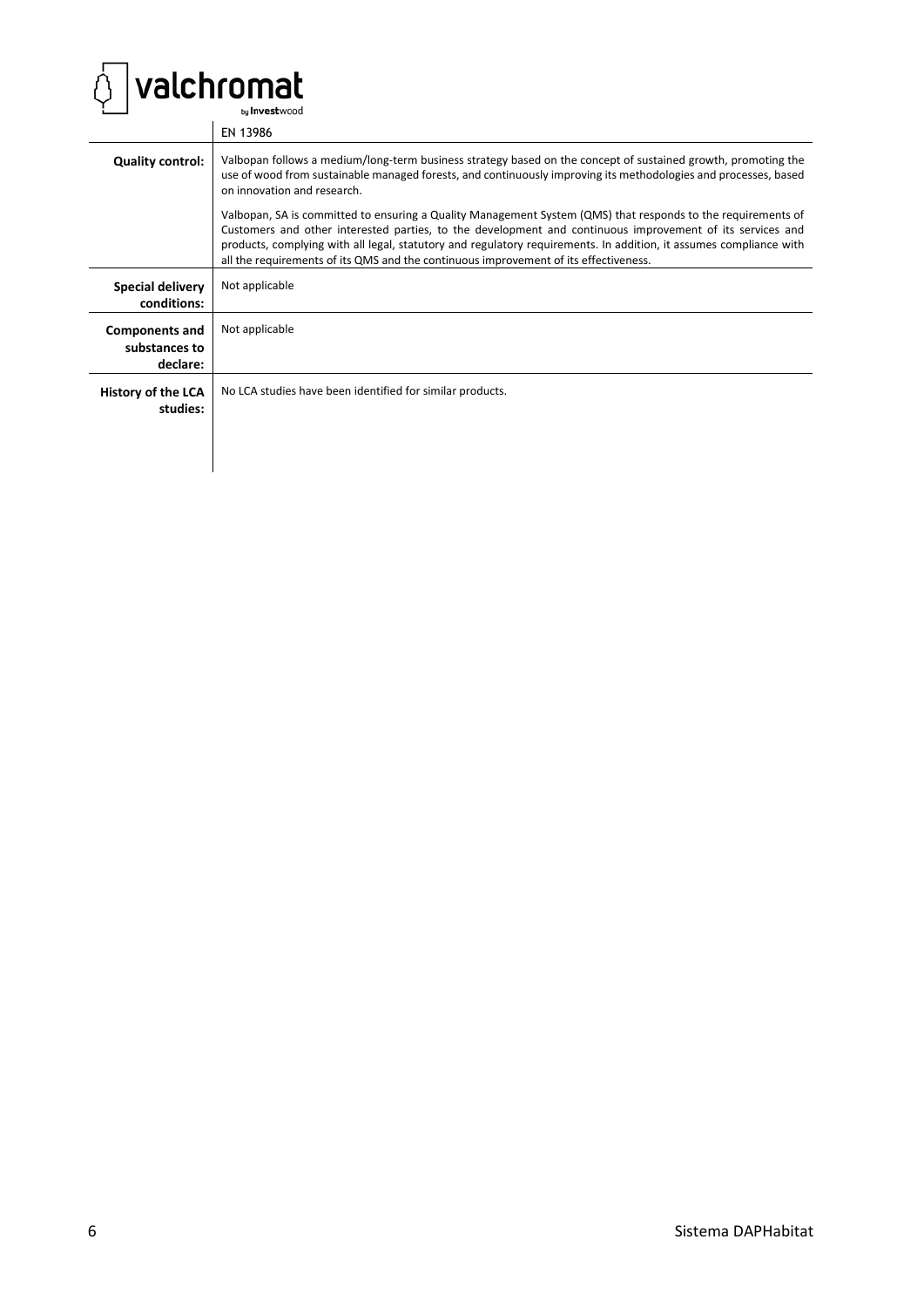

 $\mathbf{I}$ 

|                                                    | EN 13986                                                                                                                                                                                                                                                                                                                                                                                                                                |
|----------------------------------------------------|-----------------------------------------------------------------------------------------------------------------------------------------------------------------------------------------------------------------------------------------------------------------------------------------------------------------------------------------------------------------------------------------------------------------------------------------|
| <b>Quality control:</b>                            | Valbopan follows a medium/long-term business strategy based on the concept of sustained growth, promoting the<br>use of wood from sustainable managed forests, and continuously improving its methodologies and processes, based<br>on innovation and research.                                                                                                                                                                         |
|                                                    | Valbopan, SA is committed to ensuring a Quality Management System (QMS) that responds to the requirements of<br>Customers and other interested parties, to the development and continuous improvement of its services and<br>products, complying with all legal, statutory and regulatory requirements. In addition, it assumes compliance with<br>all the requirements of its QMS and the continuous improvement of its effectiveness. |
| <b>Special delivery</b><br>conditions:             | Not applicable                                                                                                                                                                                                                                                                                                                                                                                                                          |
| <b>Components and</b><br>substances to<br>declare: | Not applicable                                                                                                                                                                                                                                                                                                                                                                                                                          |
| History of the LCA<br>studies:                     | No LCA studies have been identified for similar products.                                                                                                                                                                                                                                                                                                                                                                               |
|                                                    |                                                                                                                                                                                                                                                                                                                                                                                                                                         |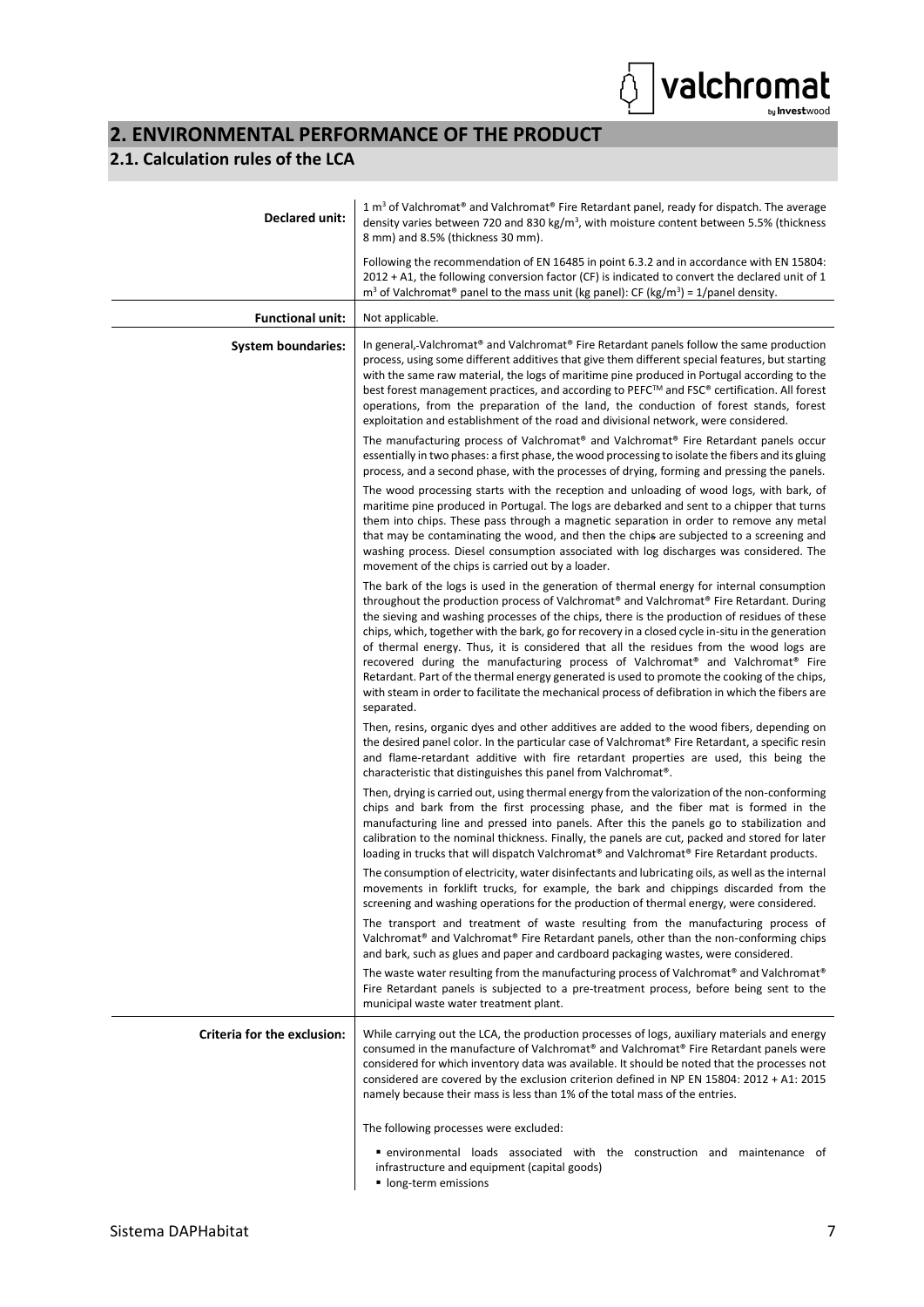# <span id="page-10-0"></span>**2. ENVIRONMENTAL PERFORMANCE OF THE PRODUCT**

#### **2.1. Calculation rules of the LCA**

| <b>Declared unit:</b>       | 1 $\text{m}^3$ of Valchromat <sup>®</sup> and Valchromat <sup>®</sup> Fire Retardant panel, ready for dispatch. The average<br>density varies between 720 and 830 kg/m <sup>3</sup> , with moisture content between 5.5% (thickness<br>8 mm) and 8.5% (thickness 30 mm).                                                                                                                                                                                                                                                                                                                                                                                                                                                                                                                                       |
|-----------------------------|----------------------------------------------------------------------------------------------------------------------------------------------------------------------------------------------------------------------------------------------------------------------------------------------------------------------------------------------------------------------------------------------------------------------------------------------------------------------------------------------------------------------------------------------------------------------------------------------------------------------------------------------------------------------------------------------------------------------------------------------------------------------------------------------------------------|
|                             | Following the recommendation of EN 16485 in point 6.3.2 and in accordance with EN 15804:<br>$2012 + A1$ , the following conversion factor (CF) is indicated to convert the declared unit of 1<br>$m3$ of Valchromat <sup>®</sup> panel to the mass unit (kg panel): CF (kg/m <sup>3</sup> ) = 1/panel density.                                                                                                                                                                                                                                                                                                                                                                                                                                                                                                 |
| <b>Functional unit:</b>     | Not applicable.                                                                                                                                                                                                                                                                                                                                                                                                                                                                                                                                                                                                                                                                                                                                                                                                |
| <b>System boundaries:</b>   | In general, Valchromat <sup>®</sup> and Valchromat <sup>®</sup> Fire Retardant panels follow the same production<br>process, using some different additives that give them different special features, but starting<br>with the same raw material, the logs of maritime pine produced in Portugal according to the<br>best forest management practices, and according to PEFC™ and FSC® certification. All forest<br>operations, from the preparation of the land, the conduction of forest stands, forest<br>exploitation and establishment of the road and divisional network, were considered.                                                                                                                                                                                                              |
|                             | The manufacturing process of Valchromat® and Valchromat® Fire Retardant panels occur<br>essentially in two phases: a first phase, the wood processing to isolate the fibers and its gluing<br>process, and a second phase, with the processes of drying, forming and pressing the panels.                                                                                                                                                                                                                                                                                                                                                                                                                                                                                                                      |
|                             | The wood processing starts with the reception and unloading of wood logs, with bark, of<br>maritime pine produced in Portugal. The logs are debarked and sent to a chipper that turns<br>them into chips. These pass through a magnetic separation in order to remove any metal<br>that may be contaminating the wood, and then the chips are subjected to a screening and<br>washing process. Diesel consumption associated with log discharges was considered. The<br>movement of the chips is carried out by a loader.                                                                                                                                                                                                                                                                                      |
|                             | The bark of the logs is used in the generation of thermal energy for internal consumption<br>throughout the production process of Valchromat® and Valchromat® Fire Retardant. During<br>the sieving and washing processes of the chips, there is the production of residues of these<br>chips, which, together with the bark, go for recovery in a closed cycle in-situ in the generation<br>of thermal energy. Thus, it is considered that all the residues from the wood logs are<br>recovered during the manufacturing process of Valchromat <sup>®</sup> and Valchromat <sup>®</sup> Fire<br>Retardant. Part of the thermal energy generated is used to promote the cooking of the chips,<br>with steam in order to facilitate the mechanical process of defibration in which the fibers are<br>separated. |
|                             | Then, resins, organic dyes and other additives are added to the wood fibers, depending on<br>the desired panel color. In the particular case of Valchromat® Fire Retardant, a specific resin<br>and flame-retardant additive with fire retardant properties are used, this being the<br>characteristic that distinguishes this panel from Valchromat <sup>®</sup> .                                                                                                                                                                                                                                                                                                                                                                                                                                            |
|                             | Then, drying is carried out, using thermal energy from the valorization of the non-conforming<br>chips and bark from the first processing phase, and the fiber mat is formed in the<br>manufacturing line and pressed into panels. After this the panels go to stabilization and<br>calibration to the nominal thickness. Finally, the panels are cut, packed and stored for later<br>loading in trucks that will dispatch Valchromat® and Valchromat® Fire Retardant products.                                                                                                                                                                                                                                                                                                                                |
|                             | The consumption of electricity, water disinfectants and lubricating oils, as well as the internal<br>movements in forklift trucks, for example, the bark and chippings discarded from the<br>screening and washing operations for the production of thermal energy, were considered.                                                                                                                                                                                                                                                                                                                                                                                                                                                                                                                           |
|                             | The transport and treatment of waste resulting from the manufacturing process of<br>Valchromat <sup>®</sup> and Valchromat <sup>®</sup> Fire Retardant panels, other than the non-conforming chips<br>and bark, such as glues and paper and cardboard packaging wastes, were considered.                                                                                                                                                                                                                                                                                                                                                                                                                                                                                                                       |
|                             | The waste water resulting from the manufacturing process of Valchromat <sup>®</sup> and Valchromat <sup>®</sup><br>Fire Retardant panels is subjected to a pre-treatment process, before being sent to the<br>municipal waste water treatment plant.                                                                                                                                                                                                                                                                                                                                                                                                                                                                                                                                                           |
| Criteria for the exclusion: | While carrying out the LCA, the production processes of logs, auxiliary materials and energy<br>consumed in the manufacture of Valchromat® and Valchromat® Fire Retardant panels were<br>considered for which inventory data was available. It should be noted that the processes not<br>considered are covered by the exclusion criterion defined in NP EN 15804: 2012 + A1: 2015<br>namely because their mass is less than 1% of the total mass of the entries.                                                                                                                                                                                                                                                                                                                                              |
|                             | The following processes were excluded:                                                                                                                                                                                                                                                                                                                                                                                                                                                                                                                                                                                                                                                                                                                                                                         |
|                             | • environmental loads associated with the construction and maintenance of<br>infrastructure and equipment (capital goods)<br>long-term emissions                                                                                                                                                                                                                                                                                                                                                                                                                                                                                                                                                                                                                                                               |

 $\big]$ valchromat

Ò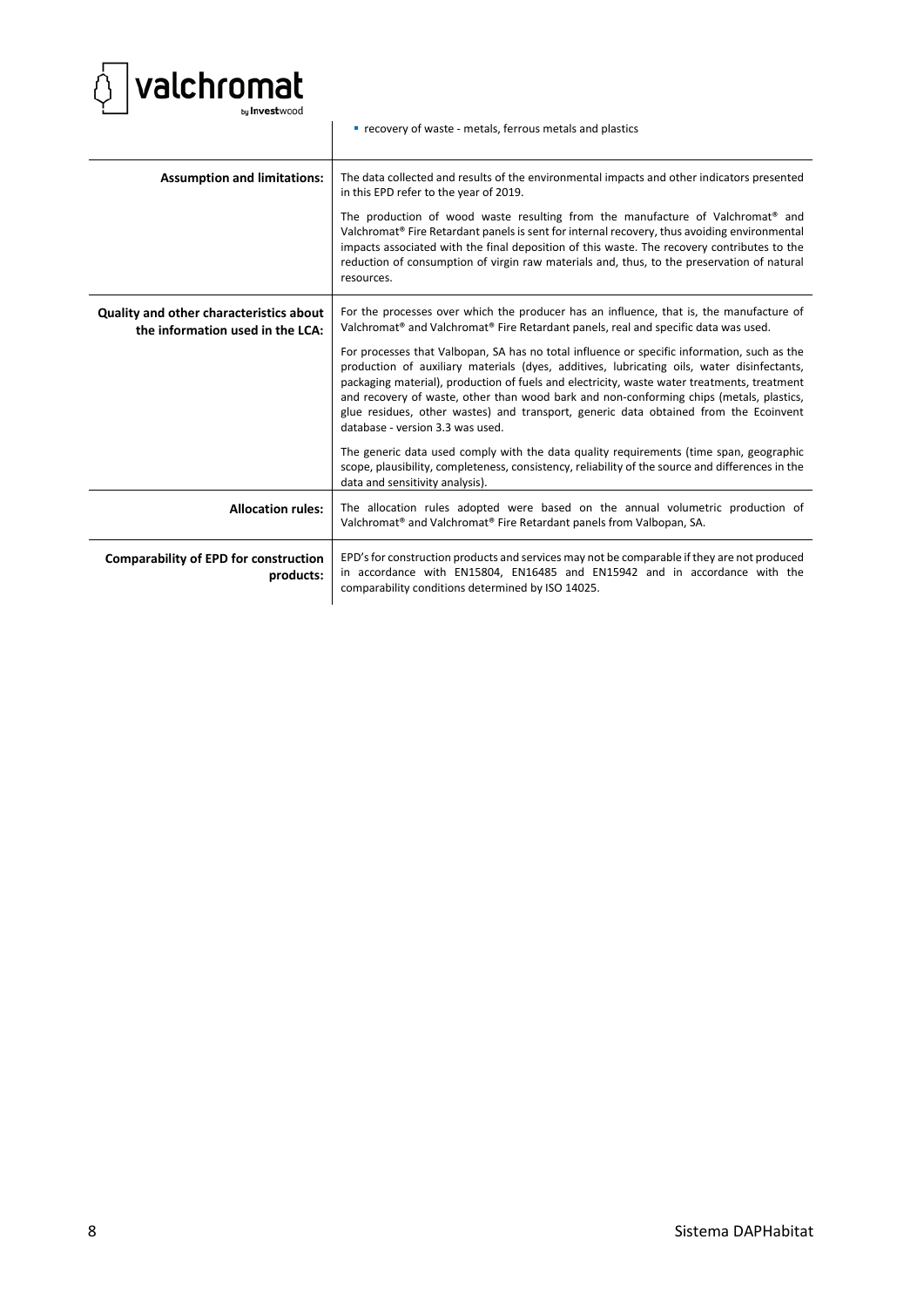

|                                                                             | " recovery of waste - metals, ferrous metals and plastics                                                                                                                                                                                                                                                                                                                                                                                                                                                                                                                                                                                                                                                                                                                                                                                                                                                                                                  |
|-----------------------------------------------------------------------------|------------------------------------------------------------------------------------------------------------------------------------------------------------------------------------------------------------------------------------------------------------------------------------------------------------------------------------------------------------------------------------------------------------------------------------------------------------------------------------------------------------------------------------------------------------------------------------------------------------------------------------------------------------------------------------------------------------------------------------------------------------------------------------------------------------------------------------------------------------------------------------------------------------------------------------------------------------|
| <b>Assumption and limitations:</b>                                          | The data collected and results of the environmental impacts and other indicators presented<br>in this EPD refer to the year of 2019.<br>The production of wood waste resulting from the manufacture of Valchromat <sup>®</sup> and<br>Valchromat® Fire Retardant panels is sent for internal recovery, thus avoiding environmental<br>impacts associated with the final deposition of this waste. The recovery contributes to the<br>reduction of consumption of virgin raw materials and, thus, to the preservation of natural<br>resources.                                                                                                                                                                                                                                                                                                                                                                                                              |
| Quality and other characteristics about<br>the information used in the LCA: | For the processes over which the producer has an influence, that is, the manufacture of<br>Valchromat <sup>®</sup> and Valchromat <sup>®</sup> Fire Retardant panels, real and specific data was used.<br>For processes that Valbopan, SA has no total influence or specific information, such as the<br>production of auxiliary materials (dyes, additives, lubricating oils, water disinfectants,<br>packaging material), production of fuels and electricity, waste water treatments, treatment<br>and recovery of waste, other than wood bark and non-conforming chips (metals, plastics,<br>glue residues, other wastes) and transport, generic data obtained from the Ecoinvent<br>database - version 3.3 was used.<br>The generic data used comply with the data quality requirements (time span, geographic<br>scope, plausibility, completeness, consistency, reliability of the source and differences in the<br>data and sensitivity analysis). |
| <b>Allocation rules:</b>                                                    | The allocation rules adopted were based on the annual volumetric production of<br>Valchromat <sup>®</sup> and Valchromat <sup>®</sup> Fire Retardant panels from Valbopan, SA.                                                                                                                                                                                                                                                                                                                                                                                                                                                                                                                                                                                                                                                                                                                                                                             |
| <b>Comparability of EPD for construction</b><br>products:                   | EPD's for construction products and services may not be comparable if they are not produced<br>in accordance with EN15804, EN16485 and EN15942 and in accordance with the<br>comparability conditions determined by ISO 14025.                                                                                                                                                                                                                                                                                                                                                                                                                                                                                                                                                                                                                                                                                                                             |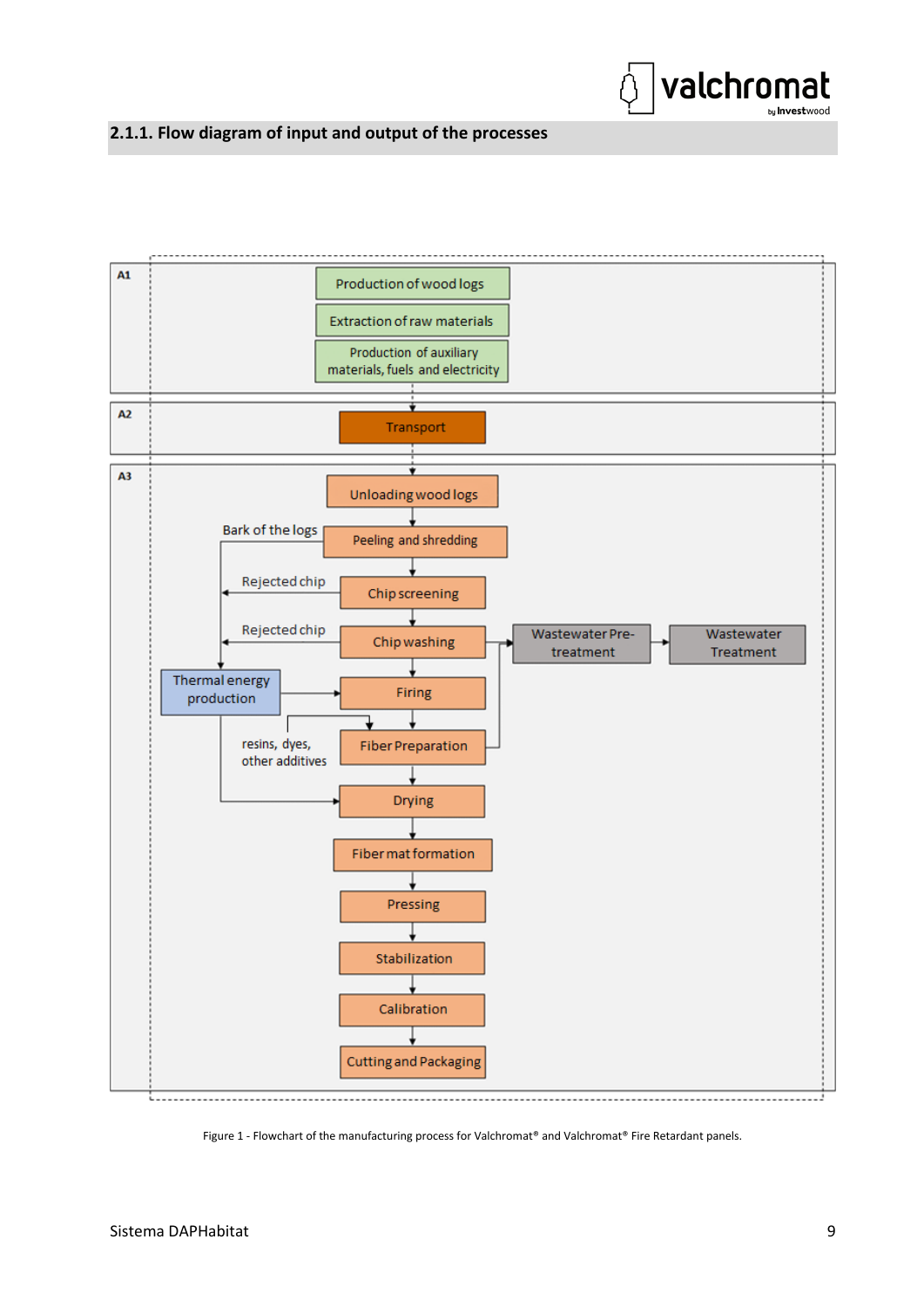

### <span id="page-12-0"></span>**2.1.1. Flow diagram of input and output of the processes**



Figure 1 - Flowchart of the manufacturing process for Valchromat® and Valchromat® Fire Retardant panels.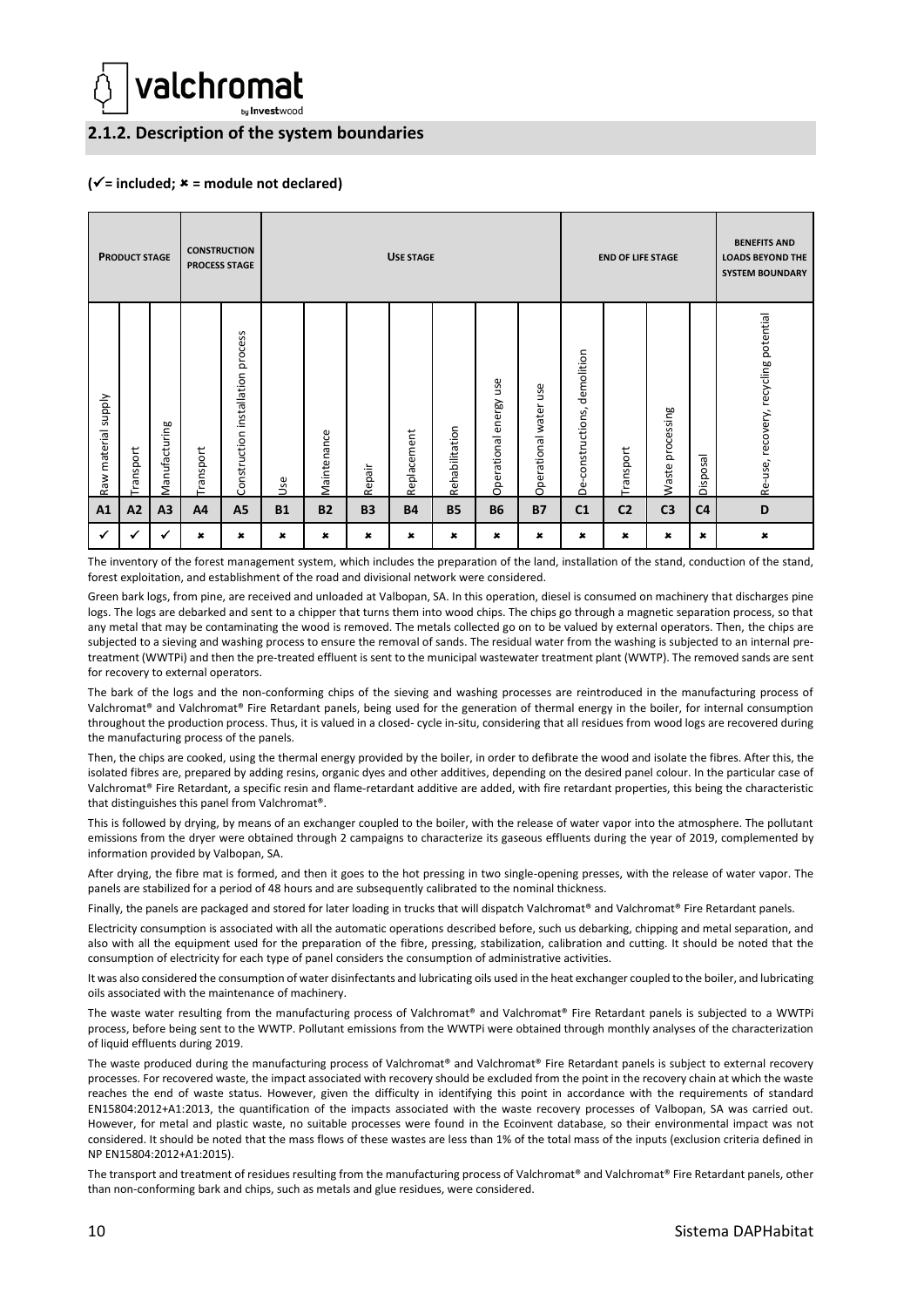

<span id="page-13-0"></span>**2.1.2. Description of the system boundaries**

#### **(**✓**= included; = module not declared)**

| <b>PRODUCT STAGE</b>   |          | <b>CONSTRUCTION</b> | <b>PROCESS STAGE</b> | <b>USE STAGE</b>                        |           |             |           |             | <b>END OF LIFE STAGE</b> |                           |                          | <b>BENEFITS AND</b><br><b>LOADS BEYOND THE</b><br><b>SYSTEM BOUNDARY</b> |                |                     |                |                                       |
|------------------------|----------|---------------------|----------------------|-----------------------------------------|-----------|-------------|-----------|-------------|--------------------------|---------------------------|--------------------------|--------------------------------------------------------------------------|----------------|---------------------|----------------|---------------------------------------|
| Ylddns<br>Raw material | ransport | Manufacturing       | Transport            | process<br>installation<br>Construction | Še        | Maintenance | Repair    | Replacement | Rehabilitation           | energy use<br>Operational | use<br>Operational water | demolition<br>constructions,<br>ف                                        | Transport      | processing<br>Waste | Disposal       | Re-use, recovery, recycling potential |
| A1                     | A2       | A3                  | A4                   | A <sub>5</sub>                          | <b>B1</b> | <b>B2</b>   | <b>B3</b> | <b>B4</b>   | <b>B5</b>                | <b>B6</b>                 | <b>B7</b>                | C <sub>1</sub>                                                           | C <sub>2</sub> | C <sub>3</sub>      | C <sub>4</sub> | D                                     |
|                        |          |                     | ×                    | $\pmb{\times}$                          | ×         | ×           | ×         | ×           | ×                        | ×                         | $\pmb{\ast}$             | $\pmb{\times}$                                                           | ×              | $\pmb{\times}$      | $\pmb{\times}$ | $\pmb{x}$                             |

The inventory of the forest management system, which includes the preparation of the land, installation of the stand, conduction of the stand, forest exploitation, and establishment of the road and divisional network were considered.

Green bark logs, from pine, are received and unloaded at Valbopan, SA. In this operation, diesel is consumed on machinery that discharges pine logs. The logs are debarked and sent to a chipper that turns them into wood chips. The chips go through a magnetic separation process, so that any metal that may be contaminating the wood is removed. The metals collected go on to be valued by external operators. Then, the chips are subjected to a sieving and washing process to ensure the removal of sands. The residual water from the washing is subjected to an internal pretreatment (WWTPi) and then the pre-treated effluent is sent to the municipal wastewater treatment plant (WWTP). The removed sands are sent for recovery to external operators.

The bark of the logs and the non-conforming chips of the sieving and washing processes are reintroduced in the manufacturing process of Valchromat® and Valchromat® Fire Retardant panels, being used for the generation of thermal energy in the boiler, for internal consumption throughout the production process. Thus, it is valued in a closed- cycle in-situ, considering that all residues from wood logs are recovered during the manufacturing process of the panels.

Then, the chips are cooked, using the thermal energy provided by the boiler, in order to defibrate the wood and isolate the fibres. After this, the isolated fibres are, prepared by adding resins, organic dyes and other additives, depending on the desired panel colour. In the particular case of Valchromat® Fire Retardant, a specific resin and flame-retardant additive are added, with fire retardant properties, this being the characteristic that distinguishes this panel from Valchromat®.

This is followed by drying, by means of an exchanger coupled to the boiler, with the release of water vapor into the atmosphere. The pollutant emissions from the dryer were obtained through 2 campaigns to characterize its gaseous effluents during the year of 2019, complemented by information provided by Valbopan, SA.

After drying, the fibre mat is formed, and then it goes to the hot pressing in two single-opening presses, with the release of water vapor. The panels are stabilized for a period of 48 hours and are subsequently calibrated to the nominal thickness.

Finally, the panels are packaged and stored for later loading in trucks that will dispatch Valchromat® and Valchromat® Fire Retardant panels.

Electricity consumption is associated with all the automatic operations described before, such us debarking, chipping and metal separation, and also with all the equipment used for the preparation of the fibre, pressing, stabilization, calibration and cutting. It should be noted that the consumption of electricity for each type of panel considers the consumption of administrative activities.

It was also considered the consumption of water disinfectants and lubricating oils used in the heat exchanger coupled to the boiler, and lubricating oils associated with the maintenance of machinery.

The waste water resulting from the manufacturing process of Valchromat® and Valchromat® Fire Retardant panels is subjected to a WWTPi process, before being sent to the WWTP. Pollutant emissions from the WWTPi were obtained through monthly analyses of the characterization of liquid effluents during 2019.

The waste produced during the manufacturing process of Valchromat® and Valchromat® Fire Retardant panels is subject to external recovery processes. For recovered waste, the impact associated with recovery should be excluded from the point in the recovery chain at which the waste reaches the end of waste status. However, given the difficulty in identifying this point in accordance with the requirements of standard EN15804:2012+A1:2013, the quantification of the impacts associated with the waste recovery processes of Valbopan, SA was carried out. However, for metal and plastic waste, no suitable processes were found in the Ecoinvent database, so their environmental impact was not considered. It should be noted that the mass flows of these wastes are less than 1% of the total mass of the inputs (exclusion criteria defined in NP EN15804:2012+A1:2015).

The transport and treatment of residues resulting from the manufacturing process of Valchromat® and Valchromat® Fire Retardant panels, other than non-conforming bark and chips, such as metals and glue residues, were considered.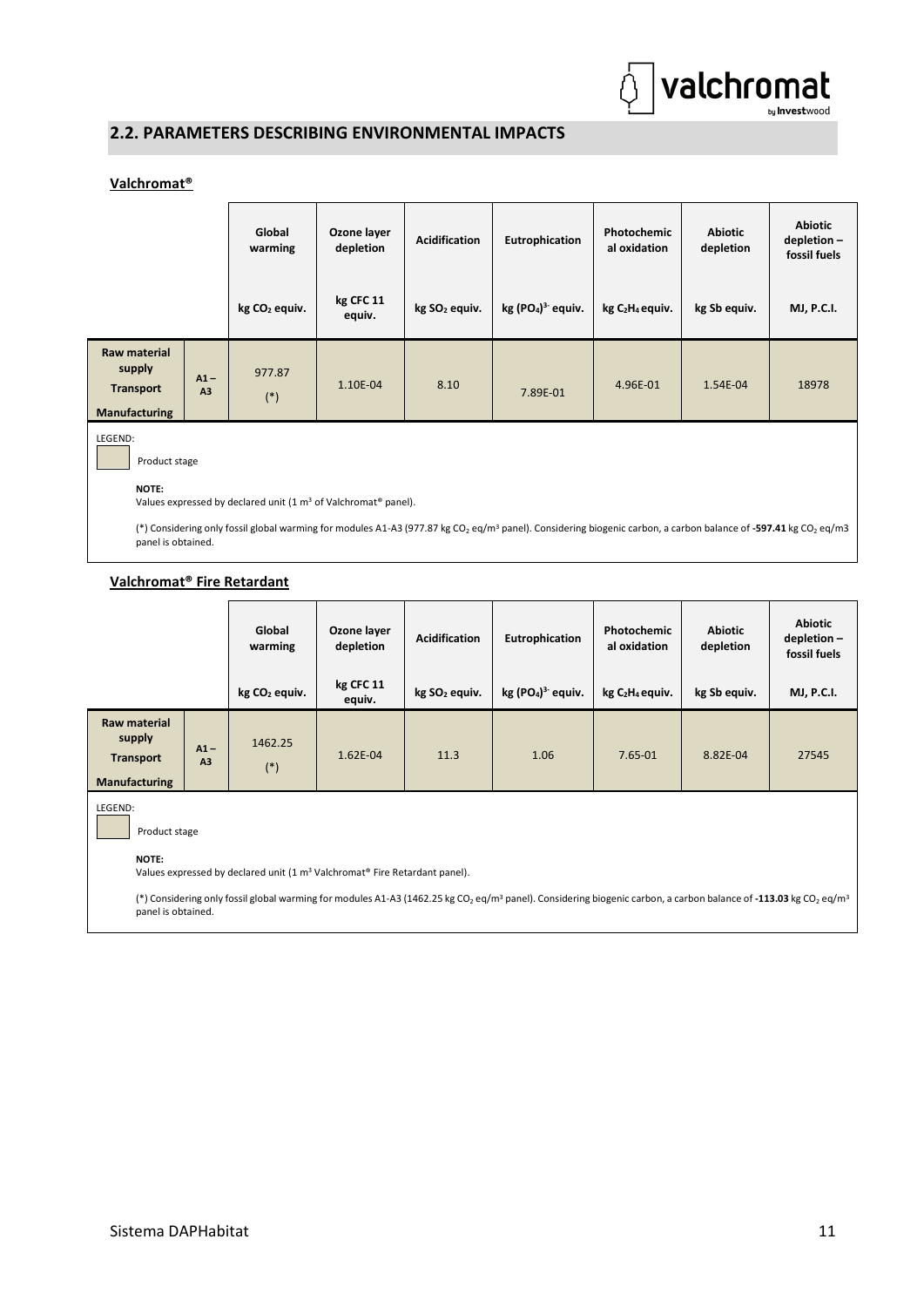

## <span id="page-14-0"></span>**2.2. PARAMETERS DESCRIBING ENVIRONMENTAL IMPACTS**

#### **Valchromat®**

|                                                                    |                                                                                                                                                                                                                                                                                                                     | Global<br>warming         | Ozone layer<br><b>Acidification</b><br>depletion |                           | Eutrophication     | Photochemic<br>al oxidation             | <b>Abiotic</b><br>depletion | <b>Abiotic</b><br>depletion-<br>fossil fuels |  |  |
|--------------------------------------------------------------------|---------------------------------------------------------------------------------------------------------------------------------------------------------------------------------------------------------------------------------------------------------------------------------------------------------------------|---------------------------|--------------------------------------------------|---------------------------|--------------------|-----------------------------------------|-----------------------------|----------------------------------------------|--|--|
|                                                                    |                                                                                                                                                                                                                                                                                                                     | kg CO <sub>2</sub> equiv. | kg CFC 11<br>equiv.                              | kg SO <sub>2</sub> equiv. | $kg (PO4)3$ equiv. | kg C <sub>2</sub> H <sub>4</sub> equiv. | kg Sb equiv.                | <b>MJ, P.C.I.</b>                            |  |  |
| Raw material<br>supply<br><b>Transport</b><br><b>Manufacturing</b> | $A1 -$<br>A <sub>3</sub>                                                                                                                                                                                                                                                                                            | 977.87<br>$(*)$           | 1.10E-04                                         | 8.10                      | 7.89E-01           | 4.96E-01                                | 1.54E-04                    | 18978                                        |  |  |
| LEGEND:<br>Product stage<br>NOTE:                                  |                                                                                                                                                                                                                                                                                                                     |                           |                                                  |                           |                    |                                         |                             |                                              |  |  |
|                                                                    | Values expressed by declared unit (1 m <sup>3</sup> of Valchromat <sup>®</sup> panel).<br>(*) Considering only fossil global warming for modules A1-A3 (977.87 kg CO <sub>2</sub> eq/m <sup>3</sup> panel). Considering biogenic carbon, a carbon balance of -597.41 kg CO <sub>2</sub> eq/m3<br>panel is obtained. |                           |                                                  |                           |                    |                                         |                             |                                              |  |  |

#### **Valchromat® Fire Retardant**

|                                                                           |              | Global<br>warming         | Ozone layer<br>depletion | <b>Acidification</b>      | Eutrophication     | Photochemic<br>al oxidation             | <b>Abiotic</b><br>depletion | <b>Abiotic</b><br>depletion-<br>fossil fuels |
|---------------------------------------------------------------------------|--------------|---------------------------|--------------------------|---------------------------|--------------------|-----------------------------------------|-----------------------------|----------------------------------------------|
|                                                                           |              | kg CO <sub>2</sub> equiv. | kg CFC 11<br>equiv.      | kg SO <sub>2</sub> equiv. | $kg (PO4)3$ equiv. | kg C <sub>2</sub> H <sub>4</sub> equiv. | kg Sb equiv.                | <b>MJ, P.C.I.</b>                            |
| <b>Raw material</b><br>supply<br><b>Transport</b><br><b>Manufacturing</b> | $A1 -$<br>A3 | 1462.25<br>$(*)$          | 1.62E-04                 | 11.3                      | 1.06               | 7.65-01                                 | 8.82E-04                    | 27545                                        |
| <b>IEGENIN</b>                                                            |              |                           |                          |                           |                    |                                         |                             |                                              |

LEGEND:

Product stage

**NOTE:** 

Values expressed by declared unit (1 m<sup>3</sup> Valchromat® Fire Retardant panel).

(\*) Considering only fossil global warming for modules A1-A3 (1462.25 kg CO<sup>2</sup> eq/m<sup>3</sup> panel). Considering biogenic carbon, a carbon balance of **-113.03** kg CO<sup>2</sup> eq/m<sup>3</sup> panel is obtained.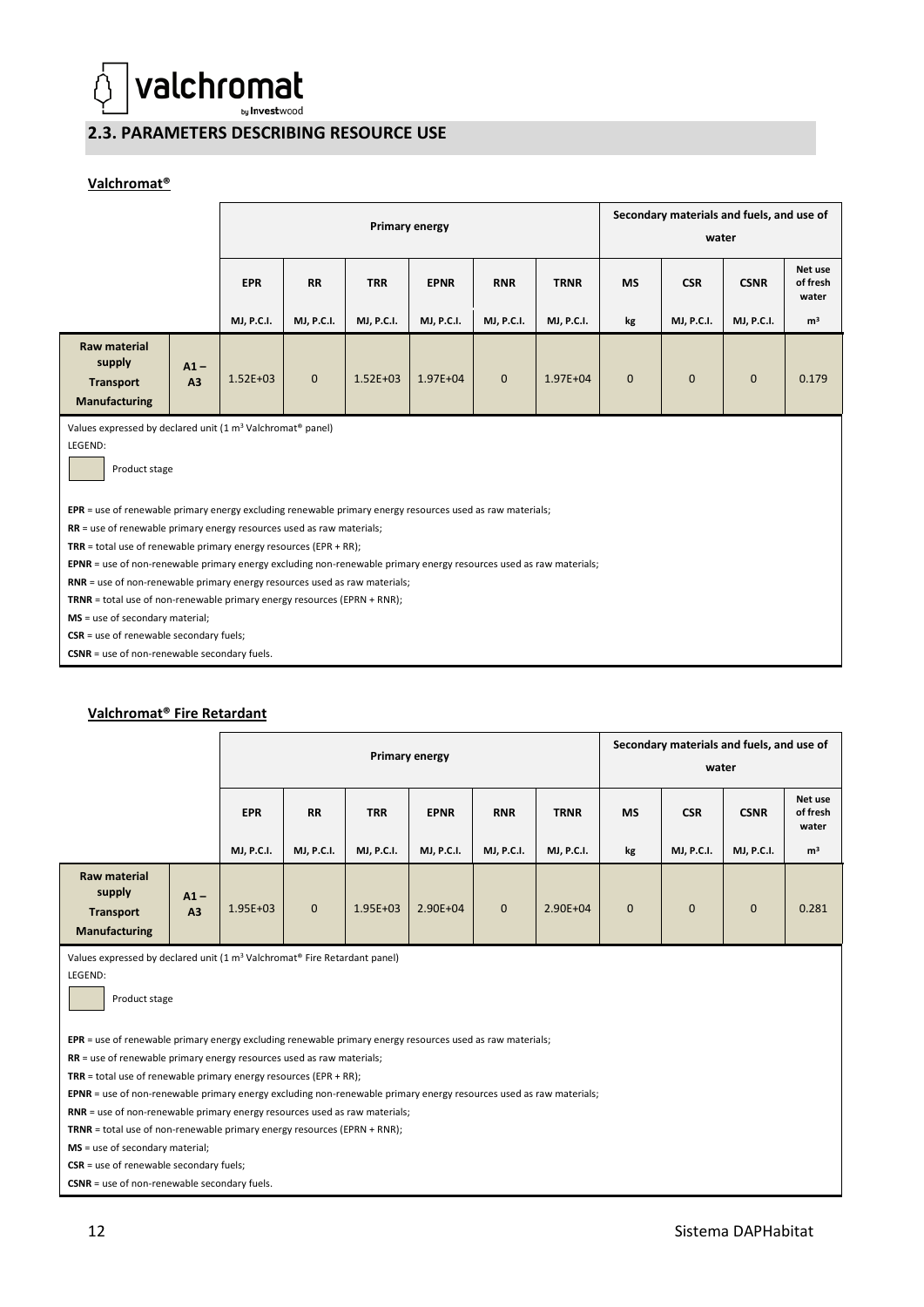

#### <span id="page-15-0"></span>**2.3. PARAMETERS DESCRIBING RESOURCE USE**

#### **Valchromat®**

|                                                                                                                    | Primary energy                                                                                            |              |                   |                   |                   |                   | Secondary materials and fuels, and use of<br>water |              |              |                   |                              |
|--------------------------------------------------------------------------------------------------------------------|-----------------------------------------------------------------------------------------------------------|--------------|-------------------|-------------------|-------------------|-------------------|----------------------------------------------------|--------------|--------------|-------------------|------------------------------|
|                                                                                                                    |                                                                                                           | <b>EPR</b>   | <b>RR</b>         | <b>TRR</b>        | <b>EPNR</b>       | <b>RNR</b>        | <b>TRNR</b>                                        | <b>MS</b>    | <b>CSR</b>   | <b>CSNR</b>       | Net use<br>of fresh<br>water |
|                                                                                                                    |                                                                                                           | MJ, P.C.I.   | <b>MJ, P.C.I.</b> | <b>MJ, P.C.I.</b> | <b>MJ, P.C.I.</b> | <b>MJ, P.C.I.</b> | MJ, P.C.I.                                         | kg           | MJ, P.C.I.   | <b>MJ, P.C.I.</b> | m <sup>3</sup>               |
| Raw material<br>supply<br><b>Transport</b><br>Manufacturing                                                        | $A1 -$<br>A <sub>3</sub>                                                                                  | $1.52E + 03$ | $\mathbf{0}$      | $1.52E + 03$      | 1.97E+04          | $\mathbf{0}$      | $1.97E + 04$                                       | $\mathbf{0}$ | $\mathbf{0}$ | $\mathbf{0}$      | 0.179                        |
| Values expressed by declared unit (1 m <sup>3</sup> Valchromat <sup>®</sup> panel)<br>LEGEND:<br>Product stage     |                                                                                                           |              |                   |                   |                   |                   |                                                    |              |              |                   |                              |
|                                                                                                                    | EPR = use of renewable primary energy excluding renewable primary energy resources used as raw materials; |              |                   |                   |                   |                   |                                                    |              |              |                   |                              |
| RR = use of renewable primary energy resources used as raw materials;                                              |                                                                                                           |              |                   |                   |                   |                   |                                                    |              |              |                   |                              |
| TRR = total use of renewable primary energy resources (EPR + RR);                                                  |                                                                                                           |              |                   |                   |                   |                   |                                                    |              |              |                   |                              |
| EPNR = use of non-renewable primary energy excluding non-renewable primary energy resources used as raw materials; |                                                                                                           |              |                   |                   |                   |                   |                                                    |              |              |                   |                              |
| RNR = use of non-renewable primary energy resources used as raw materials;                                         |                                                                                                           |              |                   |                   |                   |                   |                                                    |              |              |                   |                              |
| $TRNR = total$ use of non-renewable primary energy resources (EPRN + RNR);<br>MS = use of secondary material;      |                                                                                                           |              |                   |                   |                   |                   |                                                    |              |              |                   |                              |
| $CSR =$ use of renewable secondary fuels;                                                                          |                                                                                                           |              |                   |                   |                   |                   |                                                    |              |              |                   |                              |
| CSNR = use of non-renewable secondary fuels.                                                                       |                                                                                                           |              |                   |                   |                   |                   |                                                    |              |              |                   |                              |

#### **Valchromat® Fire Retardant**

|                                                    | <b>Primary energy</b>    |                                 |                                |                                 |                                  | Secondary materials and fuels, and use of<br>water |                                  |                 |                                 |                                  |                                                |
|----------------------------------------------------|--------------------------|---------------------------------|--------------------------------|---------------------------------|----------------------------------|----------------------------------------------------|----------------------------------|-----------------|---------------------------------|----------------------------------|------------------------------------------------|
|                                                    |                          | <b>EPR</b><br><b>MJ, P.C.I.</b> | <b>RR</b><br><b>MJ, P.C.I.</b> | <b>TRR</b><br><b>MJ, P.C.I.</b> | <b>EPNR</b><br><b>MJ, P.C.I.</b> | <b>RNR</b><br><b>MJ, P.C.I.</b>                    | <b>TRNR</b><br><b>MJ, P.C.I.</b> | <b>MS</b><br>kg | <b>CSR</b><br><b>MJ, P.C.I.</b> | <b>CSNR</b><br><b>MJ, P.C.I.</b> | Net use<br>of fresh<br>water<br>m <sup>3</sup> |
| Raw material                                       |                          |                                 |                                |                                 |                                  |                                                    |                                  |                 |                                 |                                  |                                                |
| supply<br><b>Transport</b><br><b>Manufacturing</b> | $A1 -$<br>A <sub>3</sub> | $1.95E + 03$                    | $\mathbf{0}$                   | $1.95E + 03$                    | 2.90E+04                         | $\mathbf{0}$                                       | 2.90E+04                         | $\mathbf{0}$    | $\mathbf{0}$                    | $\mathbf{0}$                     | 0.281                                          |

Values expressed by declared unit (1 m<sup>3</sup> Valchromat<sup>®</sup> Fire Retardant panel)

LEGEND:

Product stage

**EPR** = use of renewable primary energy excluding renewable primary energy resources used as raw materials;

**RR** = use of renewable primary energy resources used as raw materials;

**TRR** = total use of renewable primary energy resources (EPR + RR);

**EPNR** = use of non-renewable primary energy excluding non-renewable primary energy resources used as raw materials;

**RNR** = use of non-renewable primary energy resources used as raw materials;

**TRNR** = total use of non-renewable primary energy resources (EPRN + RNR);

**MS** = use of secondary material;

**CSR** = use of renewable secondary fuels;

**CSNR** = use of non-renewable secondary fuels.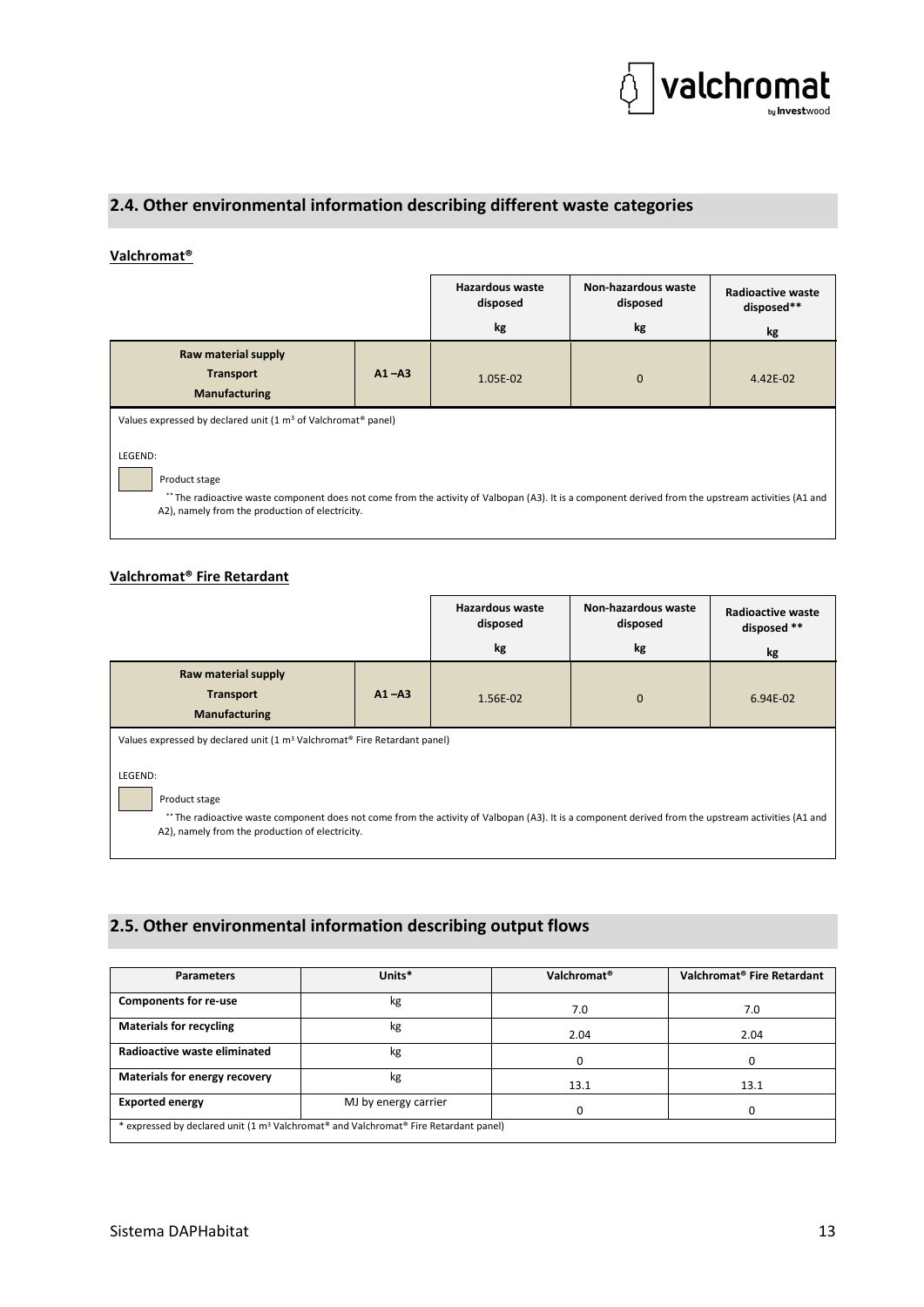

## <span id="page-16-0"></span>**2.4. Other environmental information describing different waste categories**

#### **Valchromat®**

|                                                                                                                                                                                                                                    |           | <b>Hazardous waste</b><br>disposed | Non-hazardous waste<br>disposed | Radioactive waste<br>disposed** |  |  |  |
|------------------------------------------------------------------------------------------------------------------------------------------------------------------------------------------------------------------------------------|-----------|------------------------------------|---------------------------------|---------------------------------|--|--|--|
|                                                                                                                                                                                                                                    |           | kg                                 | kg                              | kg                              |  |  |  |
| Raw material supply<br><b>Transport</b><br><b>Manufacturing</b>                                                                                                                                                                    | $A1 - A3$ | 1.05E-02                           | $\mathbf 0$                     | $4.42E - 02$                    |  |  |  |
| Values expressed by declared unit (1 m <sup>3</sup> of Valchromat <sup>®</sup> panel)                                                                                                                                              |           |                                    |                                 |                                 |  |  |  |
| LEGEND:<br>Product stage<br>** The radioactive waste component does not come from the activity of Valbopan (A3). It is a component derived from the upstream activities (A1 and<br>A2), namely from the production of electricity. |           |                                    |                                 |                                 |  |  |  |

#### **Valchromat® Fire Retardant**

|                                                                                                                                                                                                                                                                                                                                         |           | Hazardous waste<br>disposed | Non-hazardous waste<br>disposed | <b>Radioactive waste</b><br>disposed ** |  |  |  |
|-----------------------------------------------------------------------------------------------------------------------------------------------------------------------------------------------------------------------------------------------------------------------------------------------------------------------------------------|-----------|-----------------------------|---------------------------------|-----------------------------------------|--|--|--|
|                                                                                                                                                                                                                                                                                                                                         |           | kg                          | kg                              | kg                                      |  |  |  |
| Raw material supply<br><b>Transport</b><br><b>Manufacturing</b>                                                                                                                                                                                                                                                                         | $A1 - A3$ | 1.56E-02                    | $\mathbf 0$                     | 6.94E-02                                |  |  |  |
| Values expressed by declared unit (1 m <sup>3</sup> Valchromat <sup>®</sup> Fire Retardant panel)<br>LEGEND:<br>Product stage<br>** The radioactive waste component does not come from the activity of Valbopan (A3). It is a component derived from the upstream activities (A1 and<br>A2), namely from the production of electricity. |           |                             |                                 |                                         |  |  |  |

## <span id="page-16-1"></span>**2.5. Other environmental information describing output flows**

| <b>Parameters</b>                                                                                                        | Units*               | Valchromat <sup>®</sup> | Valchromat <sup>®</sup> Fire Retardant |  |  |  |  |
|--------------------------------------------------------------------------------------------------------------------------|----------------------|-------------------------|----------------------------------------|--|--|--|--|
| <b>Components for re-use</b>                                                                                             | kg                   | 7.0                     | 7.0                                    |  |  |  |  |
| <b>Materials for recycling</b>                                                                                           | kg                   | 2.04                    | 2.04                                   |  |  |  |  |
| Radioactive waste eliminated                                                                                             | kg                   | o                       | 0                                      |  |  |  |  |
| Materials for energy recovery                                                                                            | kg                   | 13.1                    | 13.1                                   |  |  |  |  |
| <b>Exported energy</b>                                                                                                   | MJ by energy carrier |                         |                                        |  |  |  |  |
| * expressed by declared unit (1 m <sup>3</sup> Valchromat <sup>®</sup> and Valchromat <sup>®</sup> Fire Retardant panel) |                      |                         |                                        |  |  |  |  |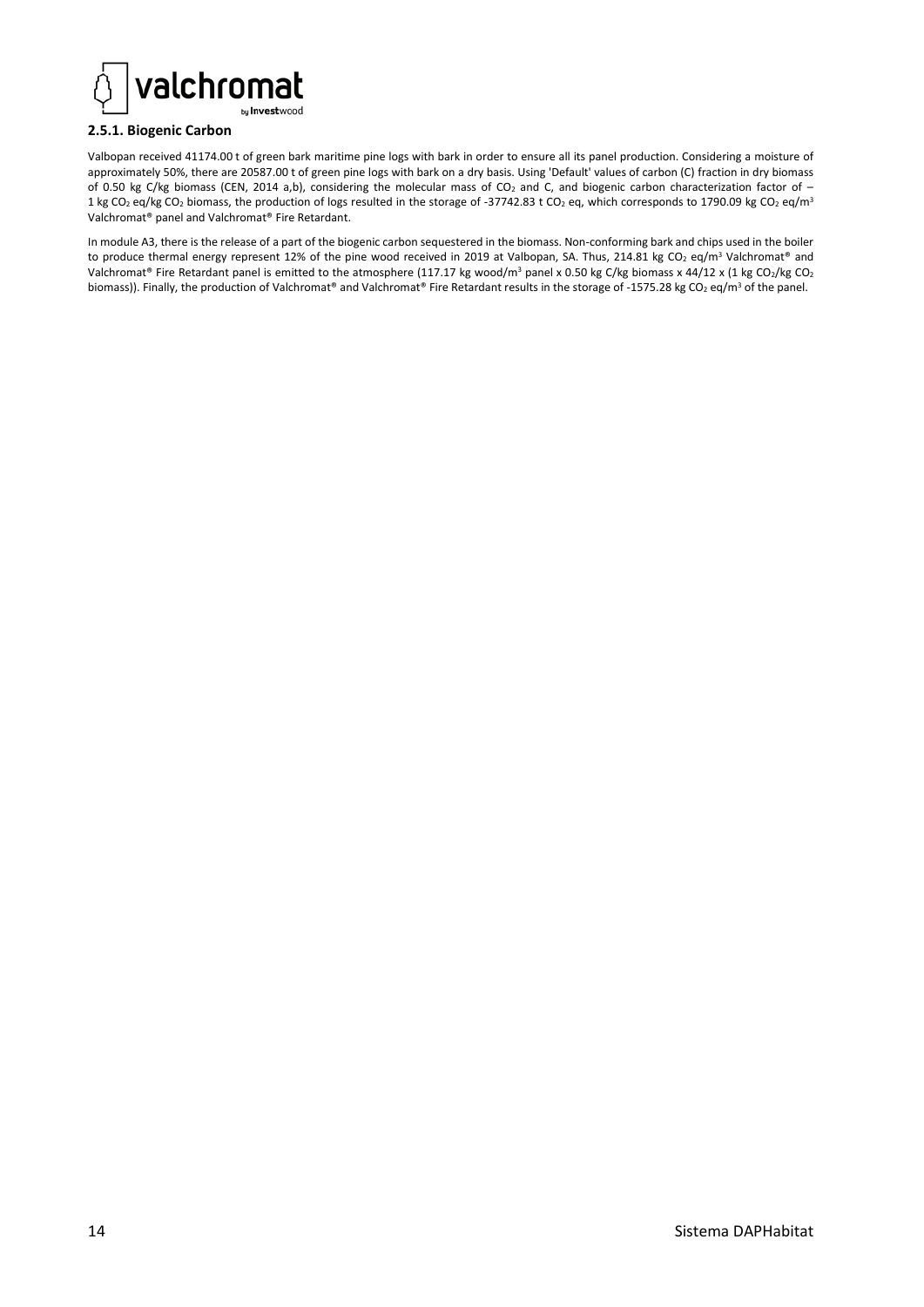

#### <span id="page-17-0"></span>**2.5.1. Biogenic Carbon**

Valbopan received 41174.00 t of green bark maritime pine logs with bark in order to ensure all its panel production. Considering a moisture of approximately 50%, there are 20587.00 t of green pine logs with bark on a dry basis. Using 'Default' values of carbon (C) fraction in dry biomass of 0.50 kg C/kg biomass (CEN, 2014 a,b), considering the molecular mass of CO<sub>2</sub> and C, and biogenic carbon characterization factor of – 1 kg CO<sub>2</sub> eq/kg CO<sub>2</sub> biomass, the production of logs resulted in the storage of -37742.83 t CO<sub>2</sub> eq, which corresponds to 1790.09 kg CO<sub>2</sub> eq/m<sup>3</sup> Valchromat® panel and Valchromat® Fire Retardant.

In module A3, there is the release of a part of the biogenic carbon sequestered in the biomass. Non-conforming bark and chips used in the boiler to produce thermal energy represent 12% of the pine wood received in 2019 at Valbopan, SA. Thus, 214.81 kg CO<sub>2</sub> eq/m<sup>3</sup> Valchromat<sup>®</sup> and Valchromat® Fire Retardant panel is emitted to the atmosphere (117.17 kg wood/m<sup>3</sup> panel x 0.50 kg C/kg biomass x 44/12 x (1 kg CO<sub>2</sub>/kg CO<sub>2</sub> biomass)). Finally, the production of Valchromat® and Valchromat® Fire Retardant results in the storage of -1575.28 kg CO<sub>2</sub> eq/m<sup>3</sup> of the panel.